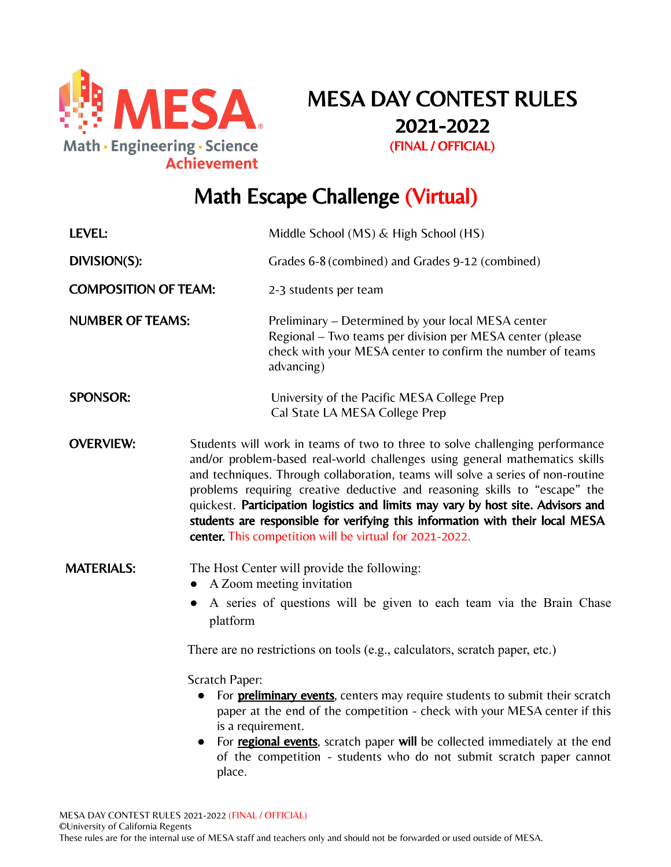

# MESA DAY CONTEST RULES 2021-2022 (FINAL / OFFICIAL)

# Math Escape Challenge (Virtual)

| LEVEL:                      |                                                                                                                                                                                                                                                                                                                                                                                                                                                                                                                                                                          | Middle School (MS) & High School (HS)                                                                                                                                                       |
|-----------------------------|--------------------------------------------------------------------------------------------------------------------------------------------------------------------------------------------------------------------------------------------------------------------------------------------------------------------------------------------------------------------------------------------------------------------------------------------------------------------------------------------------------------------------------------------------------------------------|---------------------------------------------------------------------------------------------------------------------------------------------------------------------------------------------|
| DIVISION(S):                |                                                                                                                                                                                                                                                                                                                                                                                                                                                                                                                                                                          | Grades 6-8 (combined) and Grades 9-12 (combined)                                                                                                                                            |
| <b>COMPOSITION OF TEAM:</b> |                                                                                                                                                                                                                                                                                                                                                                                                                                                                                                                                                                          | 2-3 students per team                                                                                                                                                                       |
| <b>NUMBER OF TEAMS:</b>     |                                                                                                                                                                                                                                                                                                                                                                                                                                                                                                                                                                          | Preliminary – Determined by your local MESA center<br>Regional - Two teams per division per MESA center (please<br>check with your MESA center to confirm the number of teams<br>advancing) |
| <b>SPONSOR:</b>             |                                                                                                                                                                                                                                                                                                                                                                                                                                                                                                                                                                          | University of the Pacific MESA College Prep<br>Cal State LA MESA College Prep                                                                                                               |
| <b>OVERVIEW:</b>            | Students will work in teams of two to three to solve challenging performance<br>and/or problem-based real-world challenges using general mathematics skills<br>and techniques. Through collaboration, teams will solve a series of non-routine<br>problems requiring creative deductive and reasoning skills to "escape" the<br>quickest. Participation logistics and limits may vary by host site. Advisors and<br>students are responsible for verifying this information with their local MESA<br>center. This competition will be virtual for 2021-2022.             |                                                                                                                                                                                             |
| <b>MATERIALS:</b>           | The Host Center will provide the following:<br>A Zoom meeting invitation<br>A series of questions will be given to each team via the Brain Chase<br>platform<br>There are no restrictions on tools (e.g., calculators, scratch paper, etc.)<br>Scratch Paper:<br>For <b>preliminary events</b> , centers may require students to submit their scratch<br>$\bullet$<br>paper at the end of the competition - check with your MESA center if this<br>is a requirement.<br>For <b>regional events</b> , scratch paper will be collected immediately at the end<br>$\bullet$ |                                                                                                                                                                                             |
|                             | place.                                                                                                                                                                                                                                                                                                                                                                                                                                                                                                                                                                   | of the competition - students who do not submit scratch paper cannot                                                                                                                        |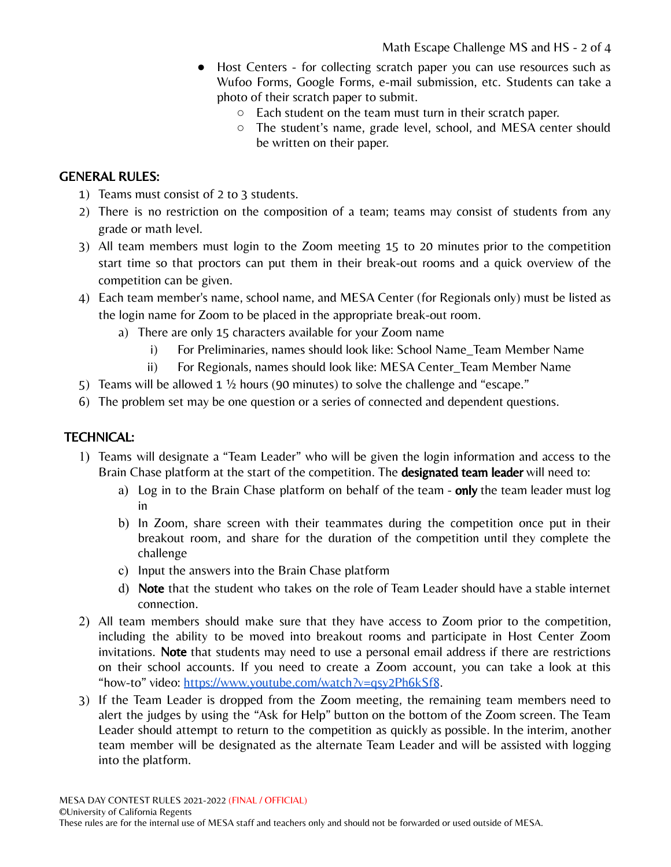- Host Centers for collecting scratch paper you can use resources such as Wufoo Forms, Google Forms, e-mail submission, etc. Students can take a photo of their scratch paper to submit.
	- Each student on the team must turn in their scratch paper.
	- The student's name, grade level, school, and MESA center should be written on their paper.

#### GENERAL RULES:

- 1) Teams must consist of 2 to 3 students.
- 2) There is no restriction on the composition of a team; teams may consist of students from any grade or math level.
- 3) All team members must login to the Zoom meeting 15 to 20 minutes prior to the competition start time so that proctors can put them in their break-out rooms and a quick overview of the competition can be given.
- 4) Each team member's name, school name, and MESA Center (for Regionals only) must be listed as the login name for Zoom to be placed in the appropriate break-out room.
	- a) There are only 15 characters available for your Zoom name
		- i) For Preliminaries, names should look like: School Name\_Team Member Name
		- ii) For Regionals, names should look like: MESA Center\_Team Member Name
- 5) Teams will be allowed 1 ½ hours (90 minutes) to solve the challenge and "escape."
- 6) The problem set may be one question or a series of connected and dependent questions.

#### TECHNICAL:

- 1) Teams will designate a "Team Leader" who will be given the login information and access to the Brain Chase platform at the start of the competition. The **designated team leader** will need to:
	- a) Log in to the Brain Chase platform on behalf of the team only the team leader must log in
	- b) In Zoom, share screen with their teammates during the competition once put in their breakout room, and share for the duration of the competition until they complete the challenge
	- c) Input the answers into the Brain Chase platform
	- d) Note that the student who takes on the role of Team Leader should have a stable internet connection.
- 2) All team members should make sure that they have access to Zoom prior to the competition, including the ability to be moved into breakout rooms and participate in Host Center Zoom invitations. Note that students may need to use a personal email address if there are restrictions on their school accounts. If you need to create a Zoom account, you can take a look at this "how-to" video: <https://www.youtube.com/watch?v=qsy2Ph6kSf8>.
- 3) If the Team Leader is dropped from the Zoom meeting, the remaining team members need to alert the judges by using the "Ask for Help" button on the bottom of the Zoom screen. The Team Leader should attempt to return to the competition as quickly as possible. In the interim, another team member will be designated as the alternate Team Leader and will be assisted with logging into the platform.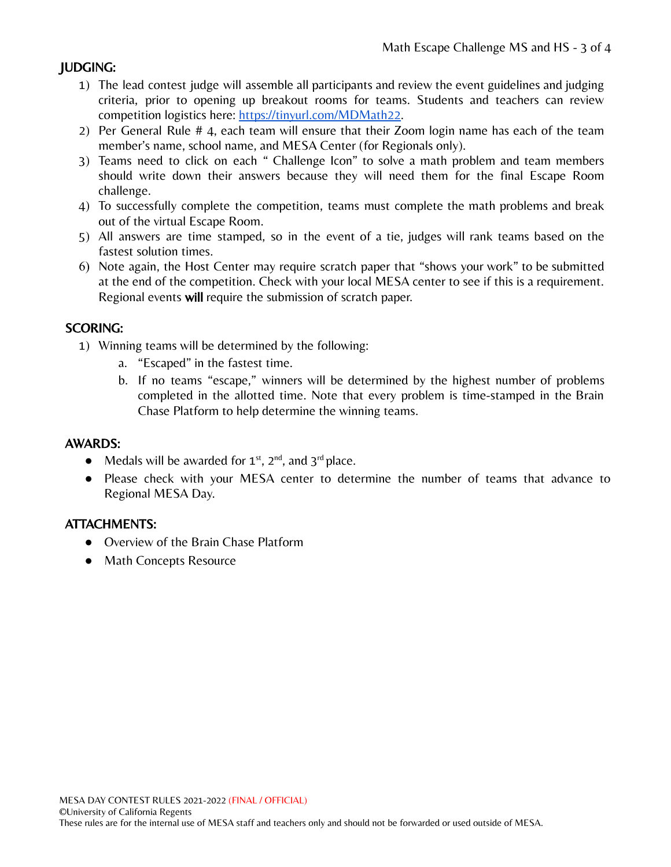## JUDGING:

- 1) The lead contest judge will assemble all participants and review the event guidelines and judging criteria, prior to opening up breakout rooms for teams. Students and teachers can review competition logistics here: [https://tinyurl.com/MDMath22.](https://tinyurl.com/MDMath22)
- 2) Per General Rule # 4, each team will ensure that their Zoom login name has each of the team member's name, school name, and MESA Center (for Regionals only).
- 3) Teams need to click on each " Challenge Icon" to solve a math problem and team members should write down their answers because they will need them for the final Escape Room challenge.
- 4) To successfully complete the competition, teams must complete the math problems and break out of the virtual Escape Room.
- 5) All answers are time stamped, so in the event of a tie, judges will rank teams based on the fastest solution times.
- 6) Note again, the Host Center may require scratch paper that "shows your work" to be submitted at the end of the competition. Check with your local MESA center to see if this is a requirement. Regional events will require the submission of scratch paper.

#### SCORING:

- 1) Winning teams will be determined by the following:
	- a. "Escaped" in the fastest time.
	- b. If no teams "escape," winners will be determined by the highest number of problems completed in the allotted time. Note that every problem is time-stamped in the Brain Chase Platform to help determine the winning teams.

#### AWARDS:

- Medals will be awarded for  $1^{st}$ ,  $2^{nd}$ , and  $3^{rd}$  place.
- Please check with your MESA center to determine the number of teams that advance to Regional MESA Day.

#### ATTACHMENTS:

- Overview of the Brain Chase Platform
- Math Concepts Resource